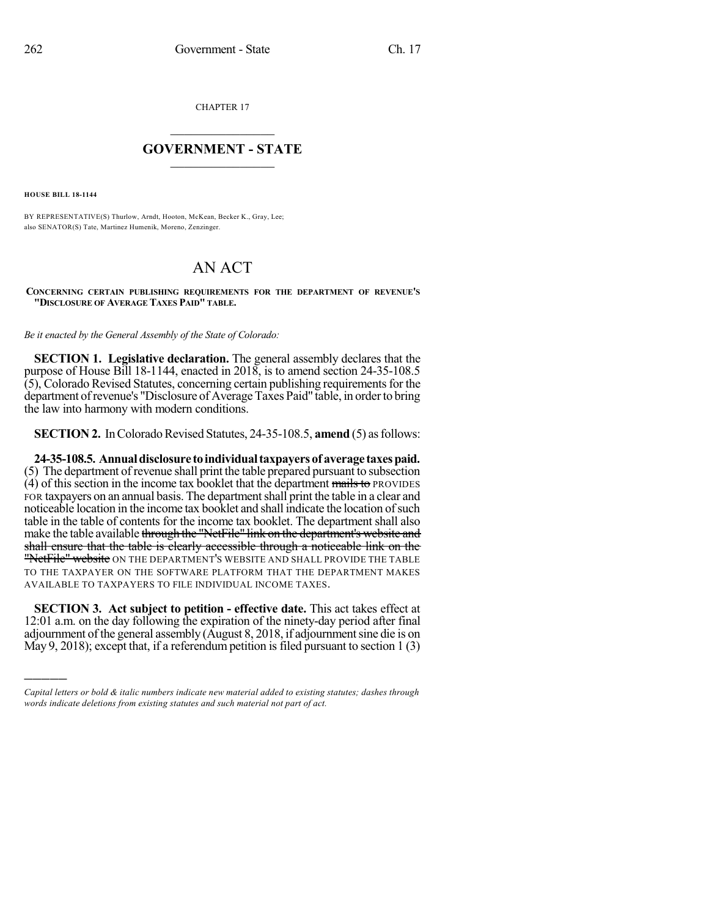CHAPTER 17

## $\mathcal{L}_\text{max}$  . The set of the set of the set of the set of the set of the set of the set of the set of the set of the set of the set of the set of the set of the set of the set of the set of the set of the set of the set **GOVERNMENT - STATE**  $\_$

**HOUSE BILL 18-1144**

)))))

BY REPRESENTATIVE(S) Thurlow, Arndt, Hooton, McKean, Becker K., Gray, Lee; also SENATOR(S) Tate, Martinez Humenik, Moreno, Zenzinger.

## AN ACT

**CONCERNING CERTAIN PUBLISHING REQUIREMENTS FOR THE DEPARTMENT OF REVENUE'S "DISCLOSURE OF AVERAGE TAXES PAID" TABLE.**

*Be it enacted by the General Assembly of the State of Colorado:*

**SECTION 1. Legislative declaration.** The general assembly declares that the purpose of House Bill 18-1144, enacted in 2018, is to amend section 24-35-108.5  $(5)$ , Colorado Revised Statutes, concerning certain publishing requirements for the department of revenue's "Disclosure of Average Taxes Paid" table, in order to bring the law into harmony with modern conditions.

**SECTION 2.** In Colorado Revised Statutes, 24-35-108.5, **amend** (5) as follows:

**24-35-108.5. Annualdisclosure toindividualtaxpayersof average taxespaid.** (5) The department of revenue shall print the table prepared pursuant to subsection  $(4)$  of this section in the income tax booklet that the department mails to PROVIDES FOR taxpayers on an annual basis. The department shall print the table in a clear and noticeable location in the income tax booklet and shall indicate the location of such table in the table of contents for the income tax booklet. The department shall also make the table available through the "NetFile" link on the department's website and shall ensure that the table is clearly accessible through a noticeable link on the "NetFile" website ON THE DEPARTMENT'S WEBSITE AND SHALL PROVIDE THE TABLE TO THE TAXPAYER ON THE SOFTWARE PLATFORM THAT THE DEPARTMENT MAKES AVAILABLE TO TAXPAYERS TO FILE INDIVIDUAL INCOME TAXES.

**SECTION 3. Act subject to petition - effective date.** This act takes effect at 12:01 a.m. on the day following the expiration of the ninety-day period after final adjournment of the general assembly (August 8, 2018, if adjournment sine die is on May 9, 2018); except that, if a referendum petition is filed pursuant to section  $1(3)$ 

*Capital letters or bold & italic numbers indicate new material added to existing statutes; dashes through words indicate deletions from existing statutes and such material not part of act.*